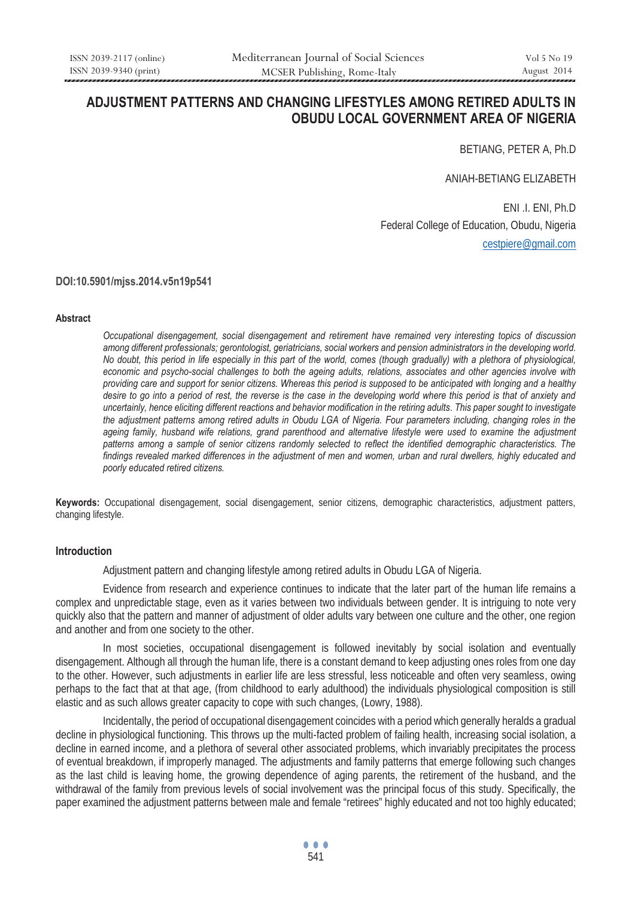# **ADJUSTMENT PATTERNS AND CHANGING LIFESTYLES AMONG RETIRED ADULTS IN OBUDU LOCAL GOVERNMENT AREA OF NIGERIA**

BETIANG, PETER A, Ph.D

ANIAH-BETIANG ELIZABETH

 ENI .I. ENI, Ph.D Federal College of Education, Obudu, Nigeria cestpiere@gmail.com

**DOI:10.5901/mjss.2014.v5n19p541**

#### **Abstract**

*Occupational disengagement, social disengagement and retirement have remained very interesting topics of discussion among different professionals; gerontologist, geriatricians, social workers and pension administrators in the developing world. No doubt, this period in life especially in this part of the world, comes (though gradually) with a plethora of physiological, economic and psycho-social challenges to both the ageing adults, relations, associates and other agencies involve with providing care and support for senior citizens. Whereas this period is supposed to be anticipated with longing and a healthy desire to go into a period of rest, the reverse is the case in the developing world where this period is that of anxiety and uncertainly, hence eliciting different reactions and behavior modification in the retiring adults. This paper sought to investigate the adjustment patterns among retired adults in Obudu LGA of Nigeria. Four parameters including, changing roles in the*  ageing family, husband wife relations, grand parenthood and alternative lifestyle were used to examine the adjustment *patterns among a sample of senior citizens randomly selected to reflect the identified demographic characteristics. The*  findings revealed marked differences in the adjustment of men and women, urban and rural dwellers, highly educated and *poorly educated retired citizens.* 

**Keywords:** Occupational disengagement, social disengagement, senior citizens, demographic characteristics, adjustment patters, changing lifestyle.

#### **Introduction**

Adjustment pattern and changing lifestyle among retired adults in Obudu LGA of Nigeria.

 Evidence from research and experience continues to indicate that the later part of the human life remains a complex and unpredictable stage, even as it varies between two individuals between gender. It is intriguing to note very quickly also that the pattern and manner of adjustment of older adults vary between one culture and the other, one region and another and from one society to the other.

 In most societies, occupational disengagement is followed inevitably by social isolation and eventually disengagement. Although all through the human life, there is a constant demand to keep adjusting ones roles from one day to the other. However, such adjustments in earlier life are less stressful, less noticeable and often very seamless, owing perhaps to the fact that at that age, (from childhood to early adulthood) the individuals physiological composition is still elastic and as such allows greater capacity to cope with such changes, (Lowry, 1988).

 Incidentally, the period of occupational disengagement coincides with a period which generally heralds a gradual decline in physiological functioning. This throws up the multi-facted problem of failing health, increasing social isolation, a decline in earned income, and a plethora of several other associated problems, which invariably precipitates the process of eventual breakdown, if improperly managed. The adjustments and family patterns that emerge following such changes as the last child is leaving home, the growing dependence of aging parents, the retirement of the husband, and the withdrawal of the family from previous levels of social involvement was the principal focus of this study. Specifically, the paper examined the adjustment patterns between male and female "retirees" highly educated and not too highly educated;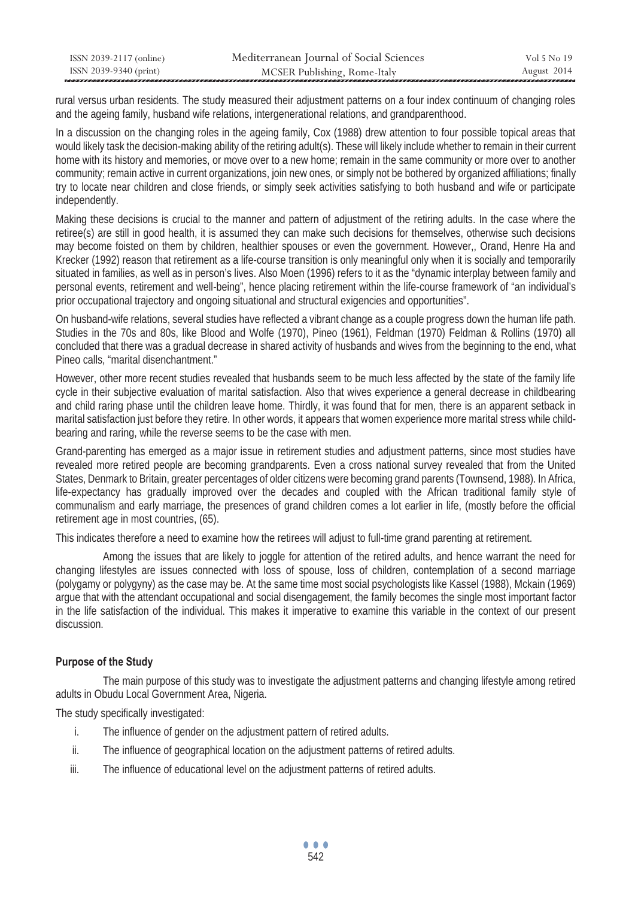| ISSN 2039-2117 (online) | Mediterranean Journal of Social Sciences | Vol 5 No 19 |
|-------------------------|------------------------------------------|-------------|
| ISSN 2039-9340 (print)  | MCSER Publishing, Rome-Italy             | August 2014 |

rural versus urban residents. The study measured their adjustment patterns on a four index continuum of changing roles and the ageing family, husband wife relations, intergenerational relations, and grandparenthood.

In a discussion on the changing roles in the ageing family, Cox (1988) drew attention to four possible topical areas that would likely task the decision-making ability of the retiring adult(s). These will likely include whether to remain in their current home with its history and memories, or move over to a new home; remain in the same community or more over to another community; remain active in current organizations, join new ones, or simply not be bothered by organized affiliations; finally try to locate near children and close friends, or simply seek activities satisfying to both husband and wife or participate independently.

Making these decisions is crucial to the manner and pattern of adjustment of the retiring adults. In the case where the retiree(s) are still in good health, it is assumed they can make such decisions for themselves, otherwise such decisions may become foisted on them by children, healthier spouses or even the government. However,, Orand, Henre Ha and Krecker (1992) reason that retirement as a life-course transition is only meaningful only when it is socially and temporarily situated in families, as well as in person's lives. Also Moen (1996) refers to it as the "dynamic interplay between family and personal events, retirement and well-being", hence placing retirement within the life-course framework of "an individual's prior occupational trajectory and ongoing situational and structural exigencies and opportunities".

On husband-wife relations, several studies have reflected a vibrant change as a couple progress down the human life path. Studies in the 70s and 80s, like Blood and Wolfe (1970), Pineo (1961), Feldman (1970) Feldman & Rollins (1970) all concluded that there was a gradual decrease in shared activity of husbands and wives from the beginning to the end, what Pineo calls, "marital disenchantment."

However, other more recent studies revealed that husbands seem to be much less affected by the state of the family life cycle in their subjective evaluation of marital satisfaction. Also that wives experience a general decrease in childbearing and child raring phase until the children leave home. Thirdly, it was found that for men, there is an apparent setback in marital satisfaction just before they retire. In other words, it appears that women experience more marital stress while childbearing and raring, while the reverse seems to be the case with men.

Grand-parenting has emerged as a major issue in retirement studies and adjustment patterns, since most studies have revealed more retired people are becoming grandparents. Even a cross national survey revealed that from the United States, Denmark to Britain, greater percentages of older citizens were becoming grand parents (Townsend, 1988). In Africa, life-expectancy has gradually improved over the decades and coupled with the African traditional family style of communalism and early marriage, the presences of grand children comes a lot earlier in life, (mostly before the official retirement age in most countries, (65).

This indicates therefore a need to examine how the retirees will adjust to full-time grand parenting at retirement.

 Among the issues that are likely to joggle for attention of the retired adults, and hence warrant the need for changing lifestyles are issues connected with loss of spouse, loss of children, contemplation of a second marriage (polygamy or polygyny) as the case may be. At the same time most social psychologists like Kassel (1988), Mckain (1969) argue that with the attendant occupational and social disengagement, the family becomes the single most important factor in the life satisfaction of the individual. This makes it imperative to examine this variable in the context of our present discussion.

# **Purpose of the Study**

 The main purpose of this study was to investigate the adjustment patterns and changing lifestyle among retired adults in Obudu Local Government Area, Nigeria.

The study specifically investigated:

- i. The influence of gender on the adjustment pattern of retired adults.
- ii. The influence of geographical location on the adjustment patterns of retired adults.
- iii. The influence of educational level on the adjustment patterns of retired adults.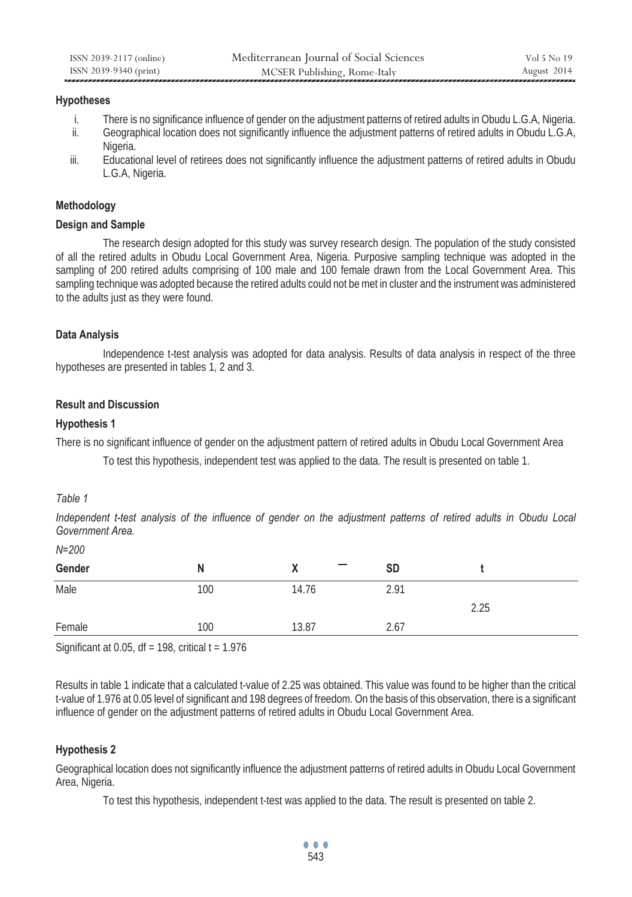# **Hypotheses**

- i. There is no significance influence of gender on the adjustment patterns of retired adults in Obudu L.G.A, Nigeria.
- ii. Geographical location does not significantly influence the adjustment patterns of retired adults in Obudu L.G.A, Nigeria.
- iii. Educational level of retirees does not significantly influence the adjustment patterns of retired adults in Obudu L.G.A, Nigeria.

# **Methodology**

# **Design and Sample**

 The research design adopted for this study was survey research design. The population of the study consisted of all the retired adults in Obudu Local Government Area, Nigeria. Purposive sampling technique was adopted in the sampling of 200 retired adults comprising of 100 male and 100 female drawn from the Local Government Area. This sampling technique was adopted because the retired adults could not be met in cluster and the instrument was administered to the adults just as they were found.

# **Data Analysis**

 Independence t-test analysis was adopted for data analysis. Results of data analysis in respect of the three hypotheses are presented in tables 1, 2 and 3.

# **Result and Discussion**

# **Hypothesis 1**

There is no significant influence of gender on the adjustment pattern of retired adults in Obudu Local Government Area

To test this hypothesis, independent test was applied to the data. The result is presented on table 1.

# *Table 1*

*N=200* 

*Independent t-test analysis of the influence of gender on the adjustment patterns of retired adults in Obudu Local Government Area.* 

| N=200  |     |       |           |      |
|--------|-----|-------|-----------|------|
| Gender | N   | Χ     | <b>SD</b> |      |
| Male   | 100 | 14.76 | 2.91      | 2.25 |
| Female | 100 | 13.87 | 2.67      |      |

Significant at 0.05, df = 198, critical  $t = 1.976$ 

Results in table 1 indicate that a calculated t-value of 2.25 was obtained. This value was found to be higher than the critical t-value of 1.976 at 0.05 level of significant and 198 degrees of freedom. On the basis of this observation, there is a significant influence of gender on the adjustment patterns of retired adults in Obudu Local Government Area.

# **Hypothesis 2**

Geographical location does not significantly influence the adjustment patterns of retired adults in Obudu Local Government Area, Nigeria.

To test this hypothesis, independent t-test was applied to the data. The result is presented on table 2.

... 543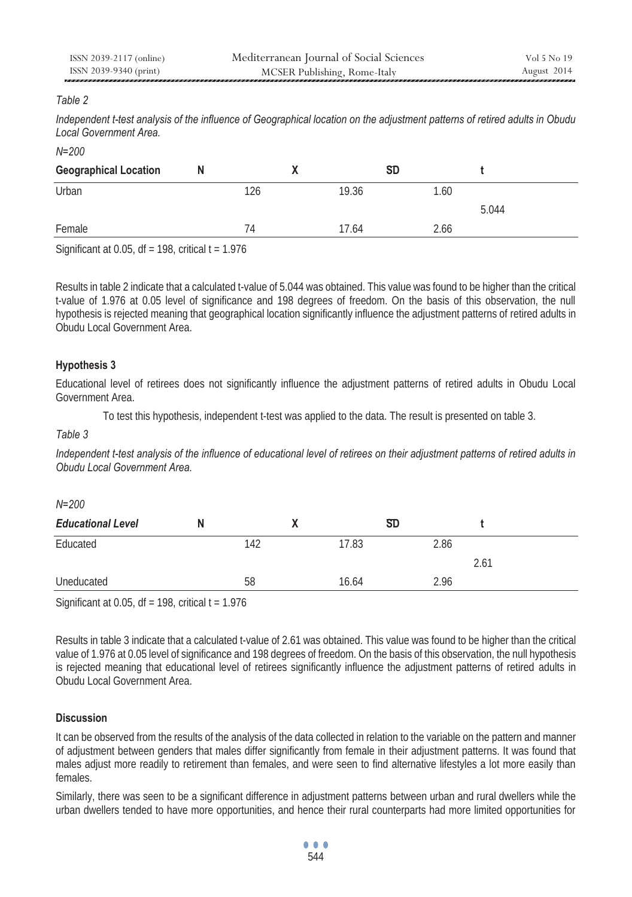| ISSN 2039-2117 (online) | Mediterranean Journal of Social Sciences | Vol 5 No 19 |
|-------------------------|------------------------------------------|-------------|
| ISSN 2039-9340 (print)  | MCSER Publishing, Rome-Italy             | August 2014 |
|                         |                                          |             |

# *Table 2*

*Independent t-test analysis of the influence of Geographical location on the adjustment patterns of retired adults in Obudu Local Government Area.* 

*N=200* 

| <b>Geographical Location</b> | N   |       | <b>SD</b> |       |
|------------------------------|-----|-------|-----------|-------|
| Urban                        | 126 | 19.36 | 1.60      |       |
|                              |     |       |           | 5.044 |
| Female                       | 74  | 17.64 | 2.66      |       |

Significant at 0.05,  $df = 198$ , critical  $t = 1.976$ 

Results in table 2 indicate that a calculated t-value of 5.044 was obtained. This value was found to be higher than the critical t-value of 1.976 at 0.05 level of significance and 198 degrees of freedom. On the basis of this observation, the null hypothesis is rejected meaning that geographical location significantly influence the adjustment patterns of retired adults in Obudu Local Government Area.

# **Hypothesis 3**

Educational level of retirees does not significantly influence the adjustment patterns of retired adults in Obudu Local Government Area.

To test this hypothesis, independent t-test was applied to the data. The result is presented on table 3.

#### *Table 3*

*Independent t-test analysis of the influence of educational level of retirees on their adjustment patterns of retired adults in Obudu Local Government Area.* 

| $N = 200$                |     |       |           |      |
|--------------------------|-----|-------|-----------|------|
| <b>Educational Level</b> | N   |       | <b>SD</b> |      |
| Educated                 | 142 | 17.83 | 2.86      |      |
|                          |     |       |           | 2.61 |
| Uneducated               | 58  | 16.64 | 2.96      |      |

Significant at 0.05, df = 198, critical  $t = 1.976$ 

Results in table 3 indicate that a calculated t-value of 2.61 was obtained. This value was found to be higher than the critical value of 1.976 at 0.05 level of significance and 198 degrees of freedom. On the basis of this observation, the null hypothesis is rejected meaning that educational level of retirees significantly influence the adjustment patterns of retired adults in Obudu Local Government Area.

# **Discussion**

It can be observed from the results of the analysis of the data collected in relation to the variable on the pattern and manner of adjustment between genders that males differ significantly from female in their adjustment patterns. It was found that males adjust more readily to retirement than females, and were seen to find alternative lifestyles a lot more easily than females.

Similarly, there was seen to be a significant difference in adjustment patterns between urban and rural dwellers while the urban dwellers tended to have more opportunities, and hence their rural counterparts had more limited opportunities for